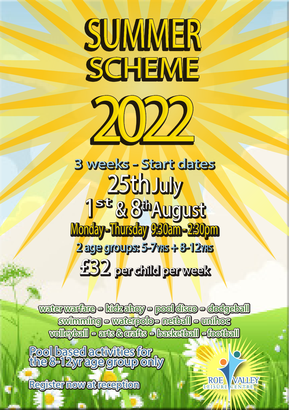## SUMMER **SCHEME** 2022

3 weeks - Start dates 25th July 1st & 8thAugust Monday - Thursday 9:30am - 2:30pm 2 age groups: 5-7yrs + 8-12yrs £32 per child per week

waterwarfare - kidzahoy - pool disco - dodgeball swimming - waterpolo - netball - unihoc volleyball - arts & crafts - basketball - football

极

**NAULEY** 

Pool based activities for the 8-12yr age group only

Register now at reception